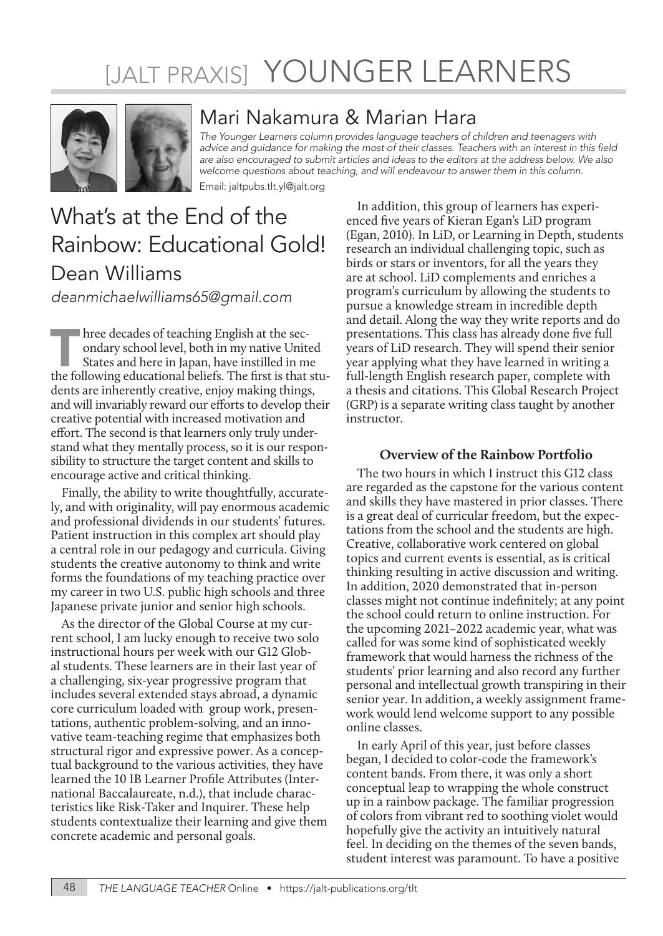# [JALT PRAXIS] YOUNGER LEARNERS



### Mari Nakamura & Marian Hara

*The Younger Learners column provides language teachers of children and teenagers with*  advice and guidance for making the most of their classes. Teachers with an interest in this field *are also encouraged to submit articles and ideas to the editors at the address below. We also welcome questions about teaching, and will endeavour to answer them in this column.*

Email: jaltpubs.tlt.yl@jalt.org

## What's at the End of the Rainbow: Educational Gold! Dean Williams

*deanmichaelwilliams65@gmail.com*

In the decades of teaching English at the secondary school level, both in my native United States and here in Japan, have instilled in me the following educational beliefs. The first is that stuondary school level, both in my native United States and here in Japan, have instilled in me dents are inherently creative, enjoy making things, and will invariably reward our efforts to develop their creative potential with increased motivation and effort. The second is that learners only truly understand what they mentally process, so it is our responsibility to structure the target content and skills to encourage active and critical thinking.

Finally, the ability to write thoughtfully, accurately, and with originality, will pay enormous academic and professional dividends in our students' futures. Patient instruction in this complex art should play a central role in our pedagogy and curricula. Giving students the creative autonomy to think and write forms the foundations of my teaching practice over my career in two U.S. public high schools and three Japanese private junior and senior high schools.

As the director of the Global Course at my current school, I am lucky enough to receive two solo instructional hours per week with our G12 Global students. These learners are in their last year of a challenging, six-year progressive program that includes several extended stays abroad, a dynamic core curriculum loaded with group work, presentations, authentic problem-solving, and an innovative team-teaching regime that emphasizes both structural rigor and expressive power. As a conceptual background to the various activities, they have learned the 10 IB Learner Profile Attributes (International Baccalaureate, n.d.), that include characteristics like Risk-Taker and Inquirer. These help students contextualize their learning and give them concrete academic and personal goals.

In addition, this group of learners has experienced five years of Kieran Egan's LiD program (Egan, 2010). In LiD, or Learning in Depth, students research an individual challenging topic, such as birds or stars or inventors, for all the years they are at school. LiD complements and enriches a program's curriculum by allowing the students to pursue a knowledge stream in incredible depth and detail. Along the way they write reports and do presentations. This class has already done five full years of LiD research. They will spend their senior year applying what they have learned in writing a full-length English research paper, complete with a thesis and citations. This Global Research Project (GRP) is a separate writing class taught by another instructor.

#### **Overview of the Rainbow Portfolio**

The two hours in which I instruct this G12 class are regarded as the capstone for the various content and skills they have mastered in prior classes. There is a great deal of curricular freedom, but the expectations from the school and the students are high. Creative, collaborative work centered on global topics and current events is essential, as is critical thinking resulting in active discussion and writing. In addition, 2020 demonstrated that in-person classes might not continue indefinitely; at any point the school could return to online instruction. For the upcoming 2021–2022 academic year, what was called for was some kind of sophisticated weekly framework that would harness the richness of the students' prior learning and also record any further personal and intellectual growth transpiring in their senior year. In addition, a weekly assignment framework would lend welcome support to any possible online classes.

In early April of this year, just before classes began, I decided to color-code the framework's content bands. From there, it was only a short conceptual leap to wrapping the whole construct up in a rainbow package. The familiar progression of colors from vibrant red to soothing violet would hopefully give the activity an intuitively natural feel. In deciding on the themes of the seven bands, student interest was paramount. To have a positive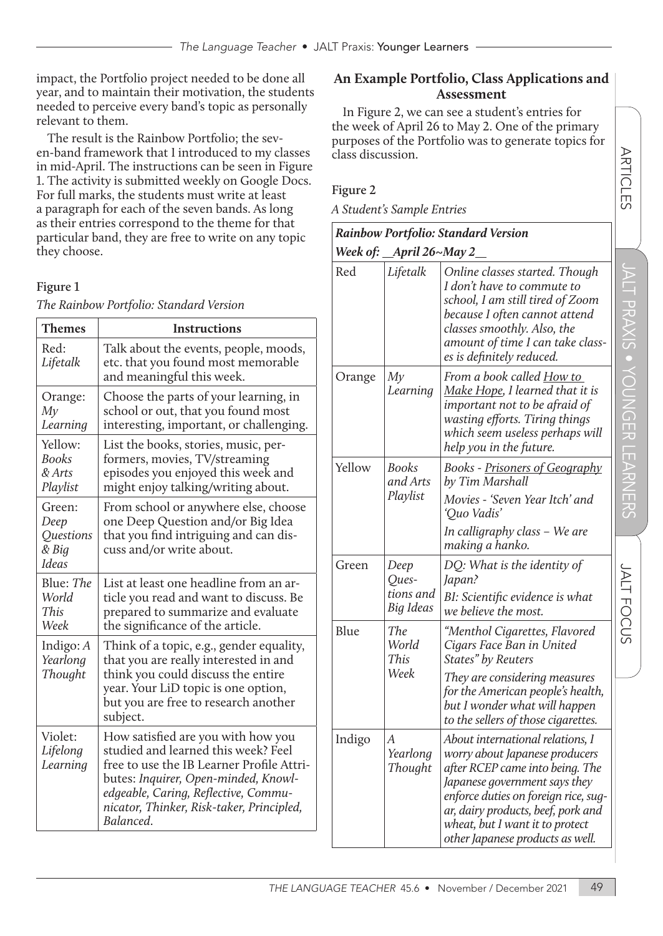impact, the Portfolio project needed to be done all year, and to maintain their motivation, the students needed to perceive every band's topic as personally relevant to them.

The result is the Rainbow Portfolio; the seven-band framework that I introduced to my classes in mid-April. The instructions can be seen in Figure 1. The activity is submitted weekly on Google Docs. For full marks, the students must write at least a paragraph for each of the seven bands. As long as their entries correspond to the theme for that particular band, they are free to write on any topic they choose.

#### **Figure 1**

| Themes                                                      | <b>Instructions</b>                                                                                                                                                                                                                                              |  |
|-------------------------------------------------------------|------------------------------------------------------------------------------------------------------------------------------------------------------------------------------------------------------------------------------------------------------------------|--|
| Red:<br>Lifetalk                                            | Talk about the events, people, moods,<br>etc. that you found most memorable<br>and meaningful this week.                                                                                                                                                         |  |
| Orange:<br>My<br>Learning                                   | Choose the parts of your learning, in<br>school or out, that you found most<br>interesting, important, or challenging.                                                                                                                                           |  |
| Yellow:<br><b>Books</b><br>& Arts<br>Playlist               | List the books, stories, music, per-<br>formers, movies, TV/streaming<br>episodes you enjoyed this week and<br>might enjoy talking/writing about.                                                                                                                |  |
| Green:<br>Deep<br><b>Questions</b><br>& Big<br><b>Ideas</b> | From school or anywhere else, choose<br>one Deep Question and/or Big Idea<br>that you find intriguing and can dis-<br>cuss and/or write about.                                                                                                                   |  |
| Blue: The<br>World<br>This<br>Week                          | List at least one headline from an ar-<br>ticle you read and want to discuss. Be<br>prepared to summarize and evaluate<br>the significance of the article.                                                                                                       |  |
| Indigo: $A$<br>Yearlong<br>Thought                          | Think of a topic, e.g., gender equality,<br>that you are really interested in and<br>think you could discuss the entire<br>year. Your LiD topic is one option,<br>but you are free to research another<br>subject.                                               |  |
| Violet:<br>Lifelong<br>Learning                             | How satisfied are you with how you<br>studied and learned this week? Feel<br>free to use the IB Learner Profile Attri-<br>butes: Inquirer, Open-minded, Knowl-<br>edgeable, Caring, Reflective, Commu-<br>nicator, Thinker, Risk-taker, Principled,<br>Balanced. |  |

*The Rainbow Portfolio: Standard Version* 

#### **An Example Portfolio, Class Applications and Assessment**

In Figure 2, we can see a student's entries for the week of April 26 to May 2. One of the primary purposes of the Portfolio was to generate topics for class discussion.

#### **Figure 2**

*A Student's Sample Entries*

| Rainbow Portfolio: Standard Version |  |  |
|-------------------------------------|--|--|
|-------------------------------------|--|--|

*Week of: April 26~May 2* 

| Red    | Lifetalk                                | Online classes started. Though<br>I don't have to commute to<br>school, I am still tired of Zoom<br>because I often cannot attend<br>classes smoothly. Also, the<br>amount of time I can take class-<br>es is definitely reduced.                                                           |
|--------|-----------------------------------------|---------------------------------------------------------------------------------------------------------------------------------------------------------------------------------------------------------------------------------------------------------------------------------------------|
| Orange | My<br>Learning                          | From a book called How to<br>Make Hope, I learned that it is<br>important not to be afraid of<br>wasting efforts. Tiring things<br>which seem useless perhaps will<br>help you in the future.                                                                                               |
| Yellow | <b>Books</b><br>and Arts<br>Playlist    | <b>Books - Prisoners of Geography</b><br>by Tim Marshall<br>Movies - 'Seven Year Itch' and<br>'Quo Vadis'<br>In calligraphy class - We are<br>making a hanko.                                                                                                                               |
| Green  | Deep<br>Ques-<br>tions and<br>Big Ideas | DQ: What is the identity of<br>Japan?<br>BI: Scientific evidence is what<br>we believe the most.                                                                                                                                                                                            |
| Blue   | The<br>World<br>This<br>Week            | "Menthol Cigarettes, Flavored<br>Cigars Face Ban in United<br>States" by Reuters<br>They are considering measures<br>for the American people's health,<br>but I wonder what will happen<br>to the sellers of those cigarettes.                                                              |
| Indigo | А<br>Yearlong<br>Thought                | About international relations, I<br>worry about Japanese producers<br>after RCEP came into being. The<br>Japanese government says they<br>enforce duties on foreign rice, sug-<br>ar, dairy products, beef, pork and<br>wheat, but I want it to protect<br>other Japanese products as well. |

ARTICLES

**ARTICLES**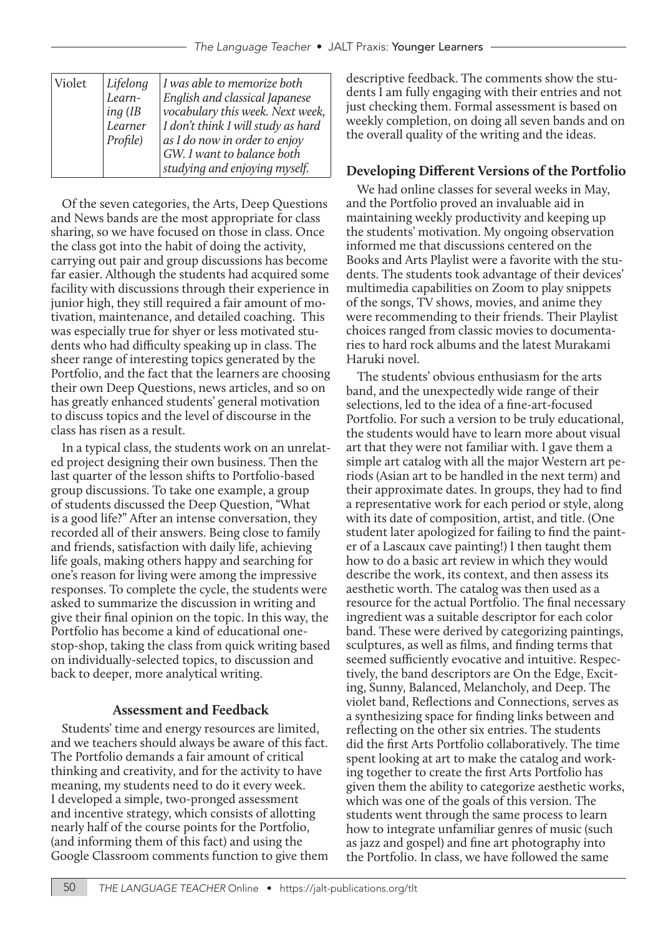| Violet | Lifelong  | I was able to memorize both        |
|--------|-----------|------------------------------------|
|        | Learn-    | English and classical Japanese     |
|        | $ing$ (IB | vocabulary this week. Next week,   |
|        | Learner   | I don't think I will study as hard |
|        | Profile)  | as I do now in order to enjoy      |
|        |           | GW. I want to balance both         |
|        |           | studying and enjoying myself.      |

Of the seven categories, the Arts, Deep Questions and News bands are the most appropriate for class sharing, so we have focused on those in class. Once the class got into the habit of doing the activity, carrying out pair and group discussions has become far easier. Although the students had acquired some facility with discussions through their experience in junior high, they still required a fair amount of motivation, maintenance, and detailed coaching. This was especially true for shyer or less motivated students who had difficulty speaking up in class. The sheer range of interesting topics generated by the Portfolio, and the fact that the learners are choosing their own Deep Questions, news articles, and so on has greatly enhanced students' general motivation to discuss topics and the level of discourse in the class has risen as a result.

In a typical class, the students work on an unrelated project designing their own business. Then the last quarter of the lesson shifts to Portfolio-based group discussions. To take one example, a group of students discussed the Deep Question, "What is a good life?" After an intense conversation, they recorded all of their answers. Being close to family and friends, satisfaction with daily life, achieving life goals, making others happy and searching for one's reason for living were among the impressive responses. To complete the cycle, the students were asked to summarize the discussion in writing and give their final opinion on the topic. In this way, the Portfolio has become a kind of educational onestop-shop, taking the class from quick writing based on individually-selected topics, to discussion and back to deeper, more analytical writing.

#### **Assessment and Feedback**

Students' time and energy resources are limited, and we teachers should always be aware of this fact. The Portfolio demands a fair amount of critical thinking and creativity, and for the activity to have meaning, my students need to do it every week. I developed a simple, two-pronged assessment and incentive strategy, which consists of allotting nearly half of the course points for the Portfolio, (and informing them of this fact) and using the Google Classroom comments function to give them

descriptive feedback. The comments show the students I am fully engaging with their entries and not just checking them. Formal assessment is based on weekly completion, on doing all seven bands and on the overall quality of the writing and the ideas.

#### **Developing Different Versions of the Portfolio**

We had online classes for several weeks in May, and the Portfolio proved an invaluable aid in maintaining weekly productivity and keeping up the students' motivation. My ongoing observation informed me that discussions centered on the Books and Arts Playlist were a favorite with the students. The students took advantage of their devices' multimedia capabilities on Zoom to play snippets of the songs, TV shows, movies, and anime they were recommending to their friends. Their Playlist choices ranged from classic movies to documentaries to hard rock albums and the latest Murakami Haruki novel.

The students' obvious enthusiasm for the arts band, and the unexpectedly wide range of their selections, led to the idea of a fine-art-focused Portfolio. For such a version to be truly educational, the students would have to learn more about visual art that they were not familiar with. I gave them a simple art catalog with all the major Western art periods (Asian art to be handled in the next term) and their approximate dates. In groups, they had to find a representative work for each period or style, along with its date of composition, artist, and title. (One student later apologized for failing to find the painter of a Lascaux cave painting!) I then taught them how to do a basic art review in which they would describe the work, its context, and then assess its aesthetic worth. The catalog was then used as a resource for the actual Portfolio. The final necessary ingredient was a suitable descriptor for each color band. These were derived by categorizing paintings, sculptures, as well as films, and finding terms that seemed sufficiently evocative and intuitive. Respectively, the band descriptors are On the Edge, Exciting, Sunny, Balanced, Melancholy, and Deep. The violet band, Reflections and Connections, serves as a synthesizing space for finding links between and reflecting on the other six entries. The students did the first Arts Portfolio collaboratively. The time spent looking at art to make the catalog and working together to create the first Arts Portfolio has given them the ability to categorize aesthetic works, which was one of the goals of this version. The students went through the same process to learn how to integrate unfamiliar genres of music (such as jazz and gospel) and fine art photography into the Portfolio. In class, we have followed the same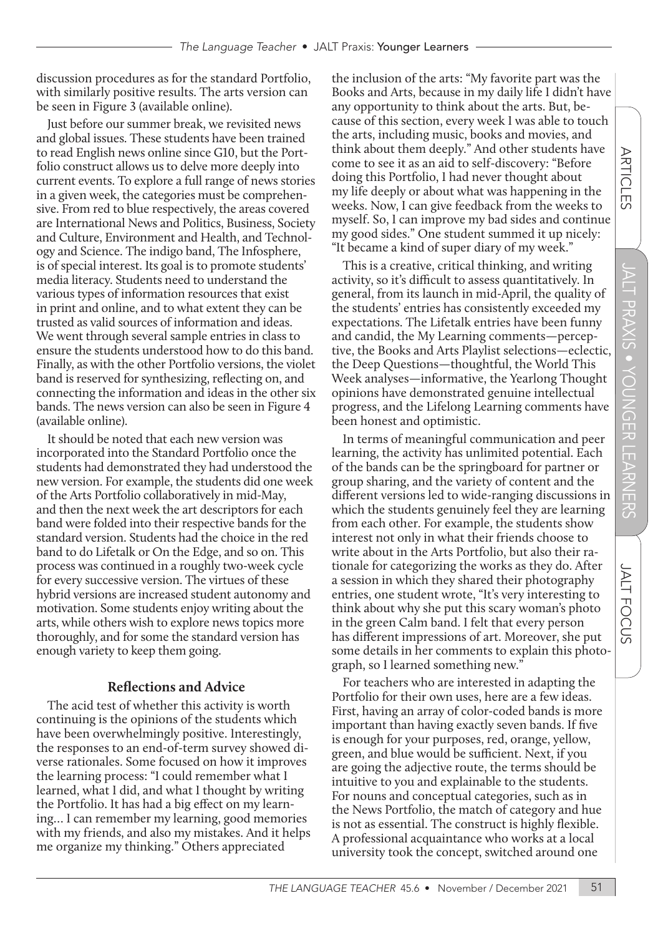discussion procedures as for the standard Portfolio, with similarly positive results. The arts version can be seen in Figure 3 (available online).

Just before our summer break, we revisited news and global issues. These students have been trained to read English news online since G10, but the Portfolio construct allows us to delve more deeply into current events. To explore a full range of news stories in a given week, the categories must be comprehensive. From red to blue respectively, the areas covered are International News and Politics, Business, Society and Culture, Environment and Health, and Technology and Science. The indigo band, The Infosphere, is of special interest. Its goal is to promote students' media literacy. Students need to understand the various types of information resources that exist in print and online, and to what extent they can be trusted as valid sources of information and ideas. We went through several sample entries in class to ensure the students understood how to do this band. Finally, as with the other Portfolio versions, the violet band is reserved for synthesizing, reflecting on, and connecting the information and ideas in the other six bands. The news version can also be seen in Figure 4 (available online).

It should be noted that each new version was incorporated into the Standard Portfolio once the students had demonstrated they had understood the new version. For example, the students did one week of the Arts Portfolio collaboratively in mid-May, and then the next week the art descriptors for each band were folded into their respective bands for the standard version. Students had the choice in the red band to do Lifetalk or On the Edge, and so on. This process was continued in a roughly two-week cycle for every successive version. The virtues of these hybrid versions are increased student autonomy and motivation. Some students enjoy writing about the arts, while others wish to explore news topics more thoroughly, and for some the standard version has enough variety to keep them going.

#### **Reflections and Advice**

The acid test of whether this activity is worth continuing is the opinions of the students which have been overwhelmingly positive. Interestingly, the responses to an end-of-term survey showed diverse rationales. Some focused on how it improves the learning process: "I could remember what I learned, what I did, and what I thought by writing the Portfolio. It has had a big effect on my learning… I can remember my learning, good memories with my friends, and also my mistakes. And it helps me organize my thinking." Others appreciated

the inclusion of the arts: "My favorite part was the Books and Arts, because in my daily life I didn't have any opportunity to think about the arts. But, because of this section, every week I was able to touch the arts, including music, books and movies, and think about them deeply." And other students have come to see it as an aid to self-discovery: "Before doing this Portfolio, I had never thought about my life deeply or about what was happening in the weeks. Now, I can give feedback from the weeks to myself. So, I can improve my bad sides and continue my good sides." One student summed it up nicely: "It became a kind of super diary of my week."

This is a creative, critical thinking, and writing activity, so it's difficult to assess quantitatively. In general, from its launch in mid-April, the quality of the students' entries has consistently exceeded my expectations. The Lifetalk entries have been funny and candid, the My Learning comments—perceptive, the Books and Arts Playlist selections—eclectic, the Deep Questions—thoughtful, the World This Week analyses—informative, the Yearlong Thought opinions have demonstrated genuine intellectual progress, and the Lifelong Learning comments have been honest and optimistic.

In terms of meaningful communication and peer learning, the activity has unlimited potential. Each of the bands can be the springboard for partner or group sharing, and the variety of content and the different versions led to wide-ranging discussions in which the students genuinely feel they are learning from each other. For example, the students show interest not only in what their friends choose to write about in the Arts Portfolio, but also their rationale for categorizing the works as they do. After a session in which they shared their photography entries, one student wrote, "It's very interesting to think about why she put this scary woman's photo in the green Calm band. I felt that every person has different impressions of art. Moreover, she put some details in her comments to explain this photograph, so I learned something new."

For teachers who are interested in adapting the Portfolio for their own uses, here are a few ideas. First, having an array of color-coded bands is more important than having exactly seven bands. If five is enough for your purposes, red, orange, yellow, green, and blue would be sufficient. Next, if you are going the adjective route, the terms should be intuitive to you and explainable to the students. For nouns and conceptual categories, such as in the News Portfolio, the match of category and hue is not as essential. The construct is highly flexible. A professional acquaintance who works at a local university took the concept, switched around one

**JALT FOCUS** 

ARTICLES

**ARTICLES**